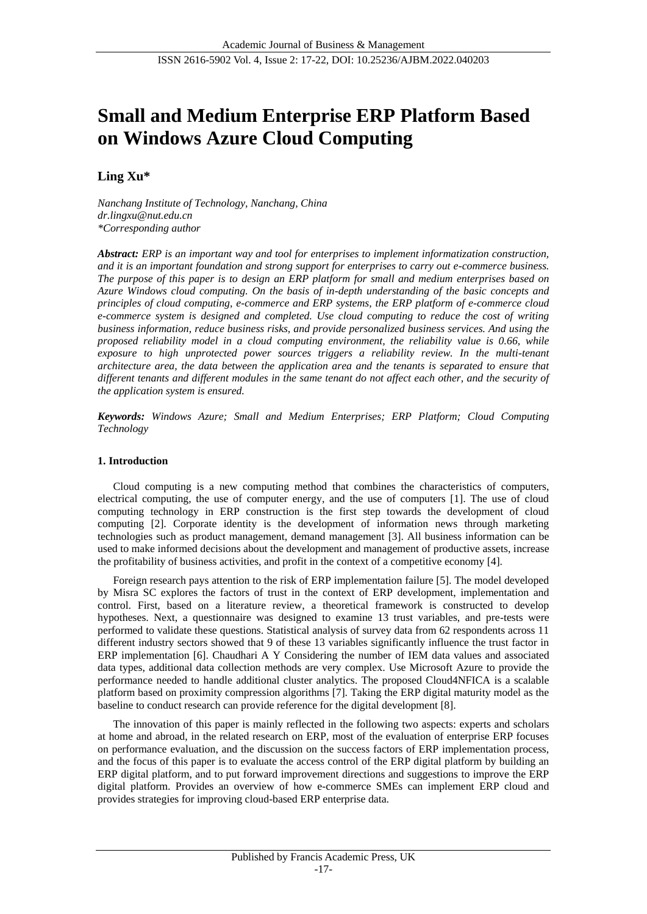# **Small and Medium Enterprise ERP Platform Based on Windows Azure Cloud Computing**

**Ling Xu\***

*Nanchang Institute of Technology, Nanchang, China dr.lingxu@nut.edu.cn \*Corresponding author*

*Abstract: ERP is an important way and tool for enterprises to implement informatization construction, and it is an important foundation and strong support for enterprises to carry out e-commerce business. The purpose of this paper is to design an ERP platform for small and medium enterprises based on Azure Windows cloud computing. On the basis of in-depth understanding of the basic concepts and principles of cloud computing, e-commerce and ERP systems, the ERP platform of e-commerce cloud e-commerce system is designed and completed. Use cloud computing to reduce the cost of writing business information, reduce business risks, and provide personalized business services. And using the proposed reliability model in a cloud computing environment, the reliability value is 0.66, while exposure to high unprotected power sources triggers a reliability review. In the multi-tenant architecture area, the data between the application area and the tenants is separated to ensure that different tenants and different modules in the same tenant do not affect each other, and the security of the application system is ensured.*

*Keywords: Windows Azure; Small and Medium Enterprises; ERP Platform; Cloud Computing Technology*

# **1. Introduction**

Cloud computing is a new computing method that combines the characteristics of computers, electrical computing, the use of computer energy, and the use of computers [1]. The use of cloud computing technology in ERP construction is the first step towards the development of cloud computing [2]. Corporate identity is the development of information news through marketing technologies such as product management, demand management [3]. All business information can be used to make informed decisions about the development and management of productive assets, increase the profitability of business activities, and profit in the context of a competitive economy [4].

Foreign research pays attention to the risk of ERP implementation failure [5]. The model developed by Misra SC explores the factors of trust in the context of ERP development, implementation and control. First, based on a literature review, a theoretical framework is constructed to develop hypotheses. Next, a questionnaire was designed to examine 13 trust variables, and pre-tests were performed to validate these questions. Statistical analysis of survey data from 62 respondents across 11 different industry sectors showed that 9 of these 13 variables significantly influence the trust factor in ERP implementation [6]. Chaudhari A Y Considering the number of IEM data values and associated data types, additional data collection methods are very complex. Use Microsoft Azure to provide the performance needed to handle additional cluster analytics. The proposed Cloud4NFICA is a scalable platform based on proximity compression algorithms [7]. Taking the ERP digital maturity model as the baseline to conduct research can provide reference for the digital development [8].

The innovation of this paper is mainly reflected in the following two aspects: experts and scholars at home and abroad, in the related research on ERP, most of the evaluation of enterprise ERP focuses on performance evaluation, and the discussion on the success factors of ERP implementation process, and the focus of this paper is to evaluate the access control of the ERP digital platform by building an ERP digital platform, and to put forward improvement directions and suggestions to improve the ERP digital platform. Provides an overview of how e-commerce SMEs can implement ERP cloud and provides strategies for improving cloud-based ERP enterprise data.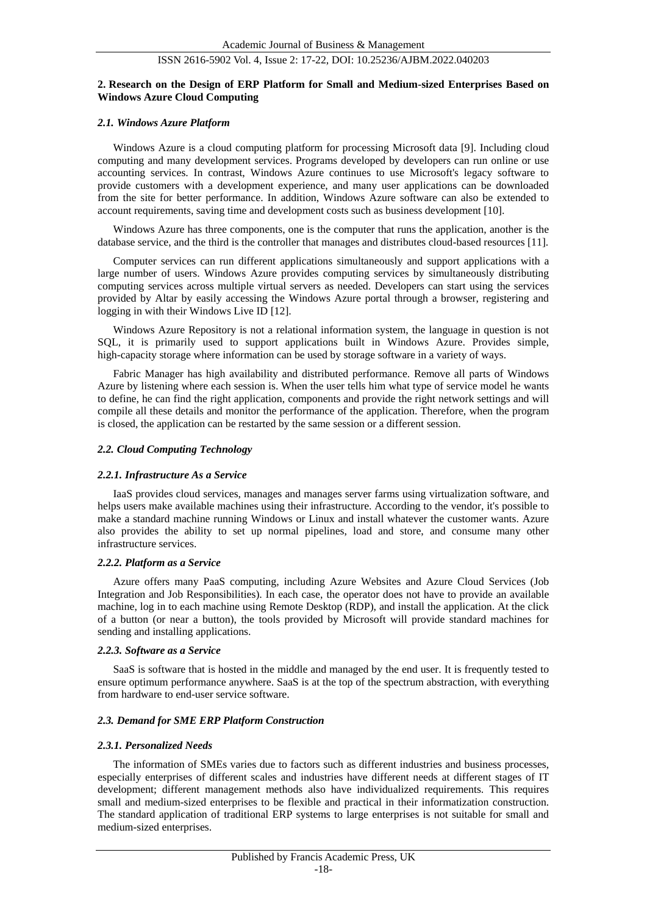## **2. Research on the Design of ERP Platform for Small and Medium-sized Enterprises Based on Windows Azure Cloud Computing**

### *2.1. Windows Azure Platform*

Windows Azure is a cloud computing platform for processing Microsoft data [9]. Including cloud computing and many development services. Programs developed by developers can run online or use accounting services. In contrast, Windows Azure continues to use Microsoft's legacy software to provide customers with a development experience, and many user applications can be downloaded from the site for better performance. In addition, Windows Azure software can also be extended to account requirements, saving time and development costs such as business development [10].

Windows Azure has three components, one is the computer that runs the application, another is the database service, and the third is the controller that manages and distributes cloud-based resources [11].

Computer services can run different applications simultaneously and support applications with a large number of users. Windows Azure provides computing services by simultaneously distributing computing services across multiple virtual servers as needed. Developers can start using the services provided by Altar by easily accessing the Windows Azure portal through a browser, registering and logging in with their Windows Live ID [12].

Windows Azure Repository is not a relational information system, the language in question is not SQL, it is primarily used to support applications built in Windows Azure. Provides simple, high-capacity storage where information can be used by storage software in a variety of ways.

Fabric Manager has high availability and distributed performance. Remove all parts of Windows Azure by listening where each session is. When the user tells him what type of service model he wants to define, he can find the right application, components and provide the right network settings and will compile all these details and monitor the performance of the application. Therefore, when the program is closed, the application can be restarted by the same session or a different session.

### *2.2. Cloud Computing Technology*

#### *2.2.1. Infrastructure As a Service*

IaaS provides cloud services, manages and manages server farms using virtualization software, and helps users make available machines using their infrastructure. According to the vendor, it's possible to make a standard machine running Windows or Linux and install whatever the customer wants. Azure also provides the ability to set up normal pipelines, load and store, and consume many other infrastructure services.

#### *2.2.2. Platform as a Service*

Azure offers many PaaS computing, including Azure Websites and Azure Cloud Services (Job Integration and Job Responsibilities). In each case, the operator does not have to provide an available machine, log in to each machine using Remote Desktop (RDP), and install the application. At the click of a button (or near a button), the tools provided by Microsoft will provide standard machines for sending and installing applications.

## *2.2.3. Software as a Service*

SaaS is software that is hosted in the middle and managed by the end user. It is frequently tested to ensure optimum performance anywhere. SaaS is at the top of the spectrum abstraction, with everything from hardware to end-user service software.

# *2.3. Demand for SME ERP Platform Construction*

## *2.3.1. Personalized Needs*

The information of SMEs varies due to factors such as different industries and business processes, especially enterprises of different scales and industries have different needs at different stages of IT development; different management methods also have individualized requirements. This requires small and medium-sized enterprises to be flexible and practical in their informatization construction. The standard application of traditional ERP systems to large enterprises is not suitable for small and medium-sized enterprises.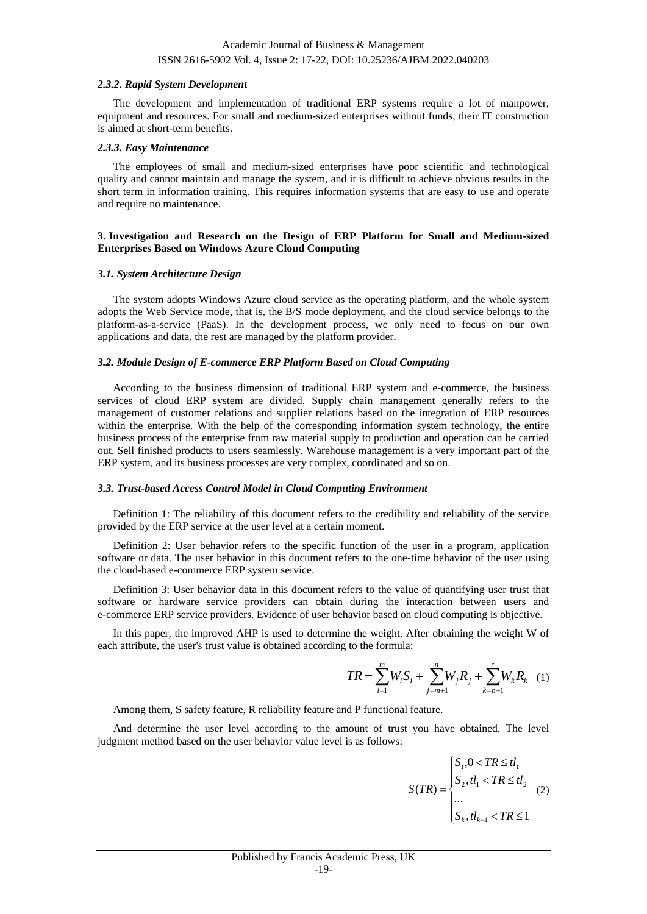#### *2.3.2. Rapid System Development*

The development and implementation of traditional ERP systems require a lot of manpower, equipment and resources. For small and medium-sized enterprises without funds, their IT construction is aimed at short-term benefits.

#### *2.3.3. Easy Maintenance*

The employees of small and medium-sized enterprises have poor scientific and technological quality and cannot maintain and manage the system, and it is difficult to achieve obvious results in the short term in information training. This requires information systems that are easy to use and operate and require no maintenance.

## **3. Investigation and Research on the Design of ERP Platform for Small and Medium-sized Enterprises Based on Windows Azure Cloud Computing**

#### *3.1. System Architecture Design*

The system adopts Windows Azure cloud service as the operating platform, and the whole system adopts the Web Service mode, that is, the B/S mode deployment, and the cloud service belongs to the platform-as-a-service (PaaS). In the development process, we only need to focus on our own applications and data, the rest are managed by the platform provider.

# *3.2. Module Design of E-commerce ERP Platform Based on Cloud Computing*

According to the business dimension of traditional ERP system and e-commerce, the business services of cloud ERP system are divided. Supply chain management generally refers to the management of customer relations and supplier relations based on the integration of ERP resources within the enterprise. With the help of the corresponding information system technology, the entire business process of the enterprise from raw material supply to production and operation can be carried out. Sell finished products to users seamlessly. Warehouse management is a very important part of the ERP system, and its business processes are very complex, coordinated and so on.

#### *3.3. Trust-based Access Control Model in Cloud Computing Environment*

Definition 1: The reliability of this document refers to the credibility and reliability of the service provided by the ERP service at the user level at a certain moment.

Definition 2: User behavior refers to the specific function of the user in a program, application software or data. The user behavior in this document refers to the one-time behavior of the user using the cloud-based e-commerce ERP system service.

Definition 3: User behavior data in this document refers to the value of quantifying user trust that software or hardware service providers can obtain during the interaction between users and e-commerce ERP service providers. Evidence of user behavior based on cloud computing is objective.

In this paper, the improved AHP is used to determine the weight. After obtaining the weight W of each attribute, the user's trust value is obtained according to the formula:

$$
TR = \sum_{i=1}^{m} W_i S_i + \sum_{j=m+1}^{n} W_j R_j + \sum_{k=n+1}^{r} W_k R_k \quad (1)
$$

Among them, S safety feature, R reliability feature and P functional feature.

And determine the user level according to the amount of trust you have obtained. The level judgment method based on the user behavior value level is as follows:

$$
S(TR) = \begin{cases} S_1, 0 < TR \leq tl_1 \\ S_2, tl_1 < TR \leq tl_2 \\ \dots \\ S_k, tl_{k-1} < TR \leq 1 \end{cases} \tag{2}
$$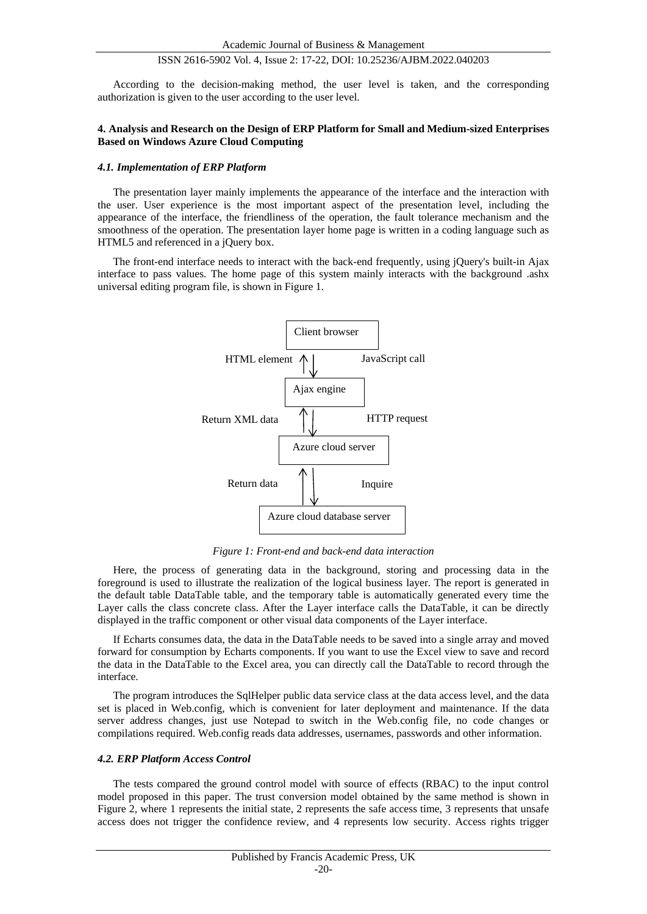According to the decision-making method, the user level is taken, and the corresponding authorization is given to the user according to the user level.

# **4. Analysis and Research on the Design of ERP Platform for Small and Medium-sized Enterprises Based on Windows Azure Cloud Computing**

### *4.1. Implementation of ERP Platform*

The presentation layer mainly implements the appearance of the interface and the interaction with the user. User experience is the most important aspect of the presentation level, including the appearance of the interface, the friendliness of the operation, the fault tolerance mechanism and the smoothness of the operation. The presentation layer home page is written in a coding language such as HTML5 and referenced in a jQuery box.

The front-end interface needs to interact with the back-end frequently, using jQuery's built-in Ajax interface to pass values. The home page of this system mainly interacts with the background .ashx universal editing program file, is shown in Figure 1.



*Figure 1: Front-end and back-end data interaction*

Here, the process of generating data in the background, storing and processing data in the foreground is used to illustrate the realization of the logical business layer. The report is generated in the default table DataTable table, and the temporary table is automatically generated every time the Layer calls the class concrete class. After the Layer interface calls the DataTable, it can be directly displayed in the traffic component or other visual data components of the Layer interface.

If Echarts consumes data, the data in the DataTable needs to be saved into a single array and moved forward for consumption by Echarts components. If you want to use the Excel view to save and record the data in the DataTable to the Excel area, you can directly call the DataTable to record through the interface.

The program introduces the SqlHelper public data service class at the data access level, and the data set is placed in Web.config, which is convenient for later deployment and maintenance. If the data server address changes, just use Notepad to switch in the Web.config file, no code changes or compilations required. Web.config reads data addresses, usernames, passwords and other information.

## *4.2. ERP Platform Access Control*

The tests compared the ground control model with source of effects (RBAC) to the input control model proposed in this paper. The trust conversion model obtained by the same method is shown in Figure 2, where 1 represents the initial state, 2 represents the safe access time, 3 represents that unsafe access does not trigger the confidence review, and 4 represents low security. Access rights trigger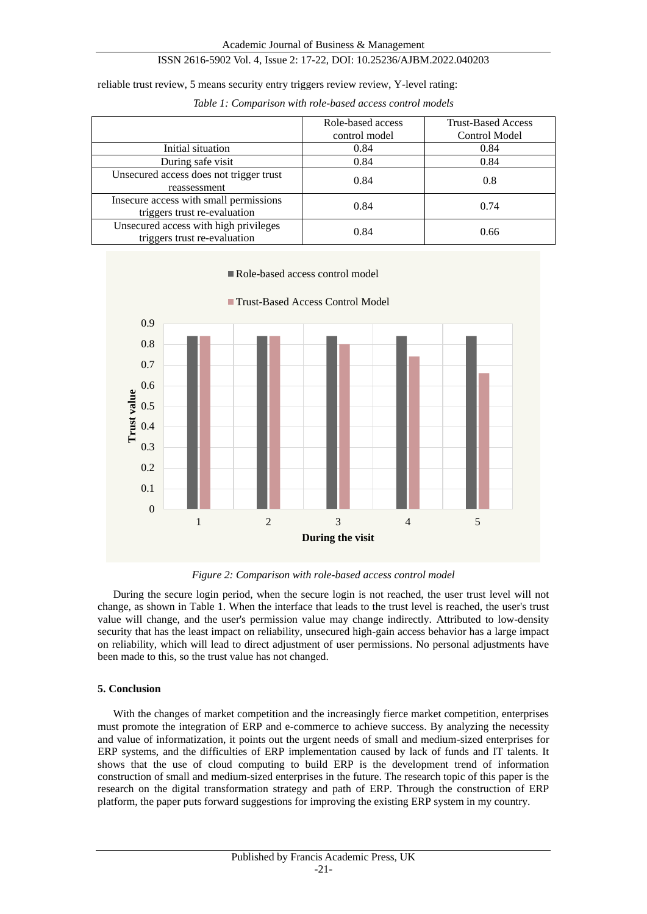reliable trust review, 5 means security entry triggers review review, Y-level rating:

|                                         | Role-based access | <b>Trust-Based Access</b> |
|-----------------------------------------|-------------------|---------------------------|
|                                         | control model     | <b>Control Model</b>      |
| Initial situation                       | 0.84              | 0.84                      |
| During safe visit                       | 0.84              | 0.84                      |
| Unsecured access does not trigger trust | 0.84              | 0.8                       |
| reassessment                            |                   |                           |
| Insecure access with small permissions  | 0.84              | 0.74                      |
| triggers trust re-evaluation            |                   |                           |
| Unsecured access with high privileges   | 0.84              | 0.66                      |
| triggers trust re-evaluation            |                   |                           |



*Figure 2: Comparison with role-based access control model*

During the secure login period, when the secure login is not reached, the user trust level will not change, as shown in Table 1. When the interface that leads to the trust level is reached, the user's trust value will change, and the user's permission value may change indirectly. Attributed to low-density security that has the least impact on reliability, unsecured high-gain access behavior has a large impact on reliability, which will lead to direct adjustment of user permissions. No personal adjustments have been made to this, so the trust value has not changed.

## **5. Conclusion**

With the changes of market competition and the increasingly fierce market competition, enterprises must promote the integration of ERP and e-commerce to achieve success. By analyzing the necessity and value of informatization, it points out the urgent needs of small and medium-sized enterprises for ERP systems, and the difficulties of ERP implementation caused by lack of funds and IT talents. It shows that the use of cloud computing to build ERP is the development trend of information construction of small and medium-sized enterprises in the future. The research topic of this paper is the research on the digital transformation strategy and path of ERP. Through the construction of ERP platform, the paper puts forward suggestions for improving the existing ERP system in my country.